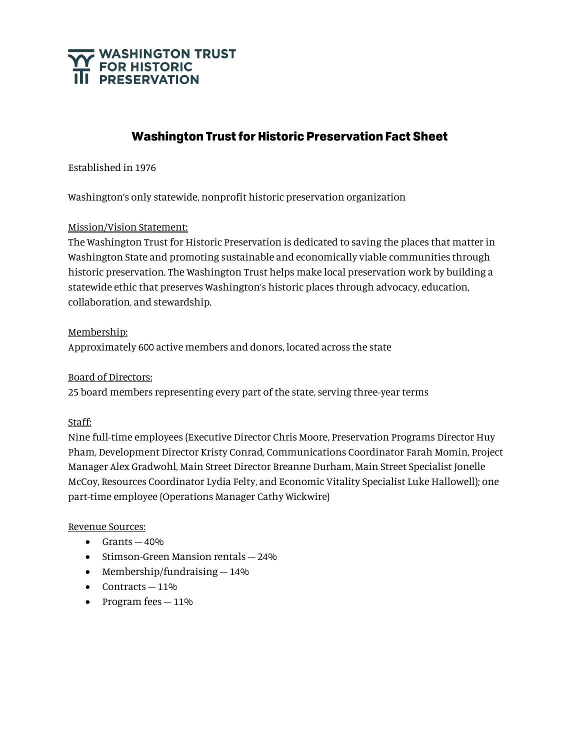

# **Washington Trust for Historic Preservation Fact Sheet**

Established in 1976

Washington's only statewide, nonprofit historic preservation organization

#### Mission/Vision Statement:

The Washington Trust for Historic Preservation is dedicated to saving the places that matter in Washington State and promoting sustainable and economically viable communities through historic preservation. The Washington Trust helps make local preservation work by building a statewide ethic that preserves Washington's historic places through advocacy, education, collaboration, and stewardship.

#### Membership:

Approximately 600 active members and donors, located across the state

#### Board of Directors:

25 board members representing every part of the state, serving three-year terms

## Staff:

Nine full-time employees (Executive Director Chris Moore, Preservation Programs Director Huy Pham, Development Director Kristy Conrad, Communications Coordinator Farah Momin, Project Manager Alex Gradwohl, Main Street Director Breanne Durham, Main Street Specialist Jonelle McCoy, Resources Coordinator Lydia Felty, and Economic Vitality Specialist Luke Hallowell); one part-time employee (Operations Manager Cathy Wickwire)

#### Revenue Sources:

- $\bullet$  Grants  $-40\%$
- Stimson-Green Mansion rentals 24%
- Membership/fundraising  $-14\%$
- $\bullet$  Contracts  $-11\%$
- Program fees  $-11\%$